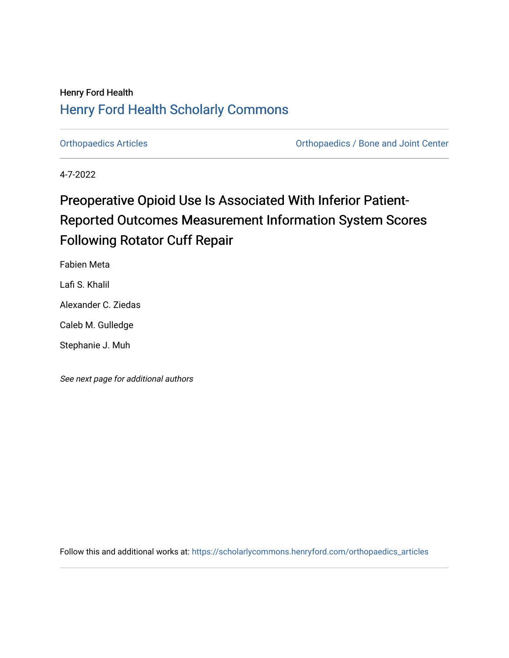## Henry Ford Health [Henry Ford Health Scholarly Commons](https://scholarlycommons.henryford.com/)

[Orthopaedics Articles](https://scholarlycommons.henryford.com/orthopaedics_articles) [Orthopaedics / Bone and Joint Center](https://scholarlycommons.henryford.com/orthopaedics) 

4-7-2022

# Preoperative Opioid Use Is Associated With Inferior Patient-Reported Outcomes Measurement Information System Scores Following Rotator Cuff Repair

Fabien Meta

Lafi S. Khalil

Alexander C. Ziedas

Caleb M. Gulledge

Stephanie J. Muh

See next page for additional authors

Follow this and additional works at: [https://scholarlycommons.henryford.com/orthopaedics\\_articles](https://scholarlycommons.henryford.com/orthopaedics_articles?utm_source=scholarlycommons.henryford.com%2Forthopaedics_articles%2F401&utm_medium=PDF&utm_campaign=PDFCoverPages)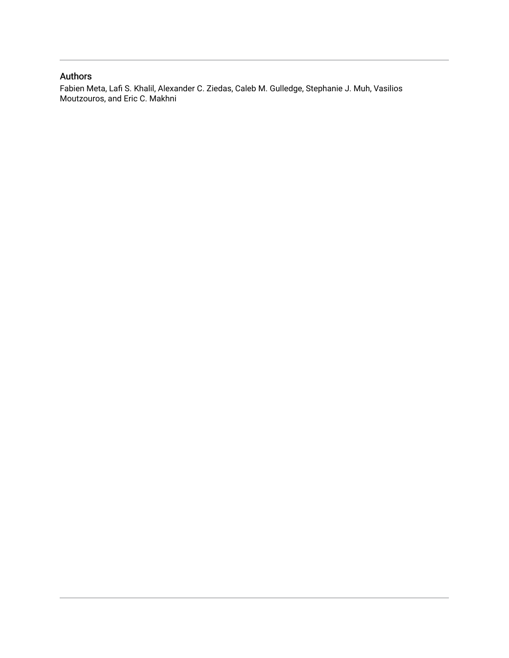## Authors

Fabien Meta, Lafi S. Khalil, Alexander C. Ziedas, Caleb M. Gulledge, Stephanie J. Muh, Vasilios Moutzouros, and Eric C. Makhni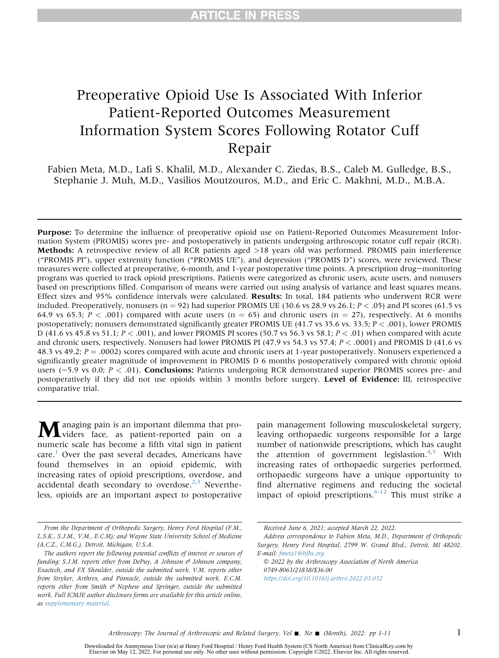## Preoperative Opioid Use Is Associated With Inferior Patient-Reported Outcomes Measurement Information System Scores Following Rotator Cuff Repair

Fabien Meta, M.D., Lafi S. Khalil, M.D., Alexander C. Ziedas, B.S., Caleb M. Gulledge, B.S., Stephanie J. Muh, M.D., Vasilios Moutzouros, M.D., and Eric C. Makhni, M.D., M.B.A.

Purpose: To determine the influence of preoperative opioid use on Patient-Reported Outcomes Measurement Information System (PROMIS) scores pre- and postoperatively in patients undergoing arthroscopic rotator cuff repair (RCR). Methods: A retrospective review of all RCR patients aged >18 years old was performed. PROMIS pain interference ("PROMIS PI"), upper extremity function ("PROMIS UE"), and depression ("PROMIS D") scores, were reviewed. These measures were collected at preoperative, 6-month, and 1-year postoperative time points. A prescription drug-monitoring program was queried to track opioid prescriptions. Patients were categorized as chronic users, acute users, and nonusers based on prescriptions filled. Comparison of means were carried out using analysis of variance and least squares means. Effect sizes and 95% confidence intervals were calculated. Results: In total, 184 patients who underwent RCR were included. Preoperatively, nonusers ( $n = 92$ ) had superior PROMIS UE (30.6 vs 28.9 vs 26.1;  $P < .05$ ) and PI scores (61.5 vs 64.9 vs 65.3;  $P < .001$ ) compared with acute users (n = 65) and chronic users (n = 27), respectively. At 6 months postoperatively; nonusers demonstrated significantly greater PROMIS UE (41.7 vs 35.6 vs. 33.5; P < .001), lower PROMIS D (41.6 vs 45.8 vs 51.1;  $P < .001$ ), and lower PROMIS PI scores (50.7 vs 56.3 vs 58.1;  $P < .01$ ) when compared with acute and chronic users, respectively. Nonusers had lower PROMIS PI (47.9 vs 54.3 vs 57.4; P < .0001) and PROMIS D (41.6 vs 48.3 vs 49.2;  $P = .0002$ ) scores compared with acute and chronic users at 1-year postoperatively. Nonusers experienced a significantly greater magnitude of improvement in PROMIS D 6 months postoperatively compared with chronic opioid users  $(-5.9 \text{ vs } 0.0; P < .01)$ . Conclusions: Patients undergoing RCR demonstrated superior PROMIS scores pre- and postoperatively if they did not use opioids within 3 months before surgery. Level of Evidence: III, retrospective comparative trial.

Managing pain is an important dilemma that pro-viders face, as patient-reported pain on a numeric scale has become a fifth vital sign in patient care. $\frac{1}{1}$  $\frac{1}{1}$  $\frac{1}{1}$  Over the past several decades, Americans have found themselves in an opioid epidemic, with increasing rates of opioid prescriptions, overdose, and accidental death secondary to overdose. $2,3$  $2,3$  $2,3$  Nevertheless, opioids are an important aspect to postoperative

pain management following musculoskeletal surgery, leaving orthopaedic surgeons responsible for a large number of nationwide prescriptions, which has caught the attention of government legislastion.<sup>[4,](#page-9-3)[5](#page-9-4)</sup> With increasing rates of orthopaedic surgeries performed, orthopaedic surgeons have a unique opportunity to find alternative regimens and reducing the societal impact of opioid prescriptions. $6-12$  This must strike a

From the Department of Orthopedic Surgery, Henry Ford Hospital (F.M., L.S.K., S.J.M., V.M., E.C.M); and Wayne State University School of Medicine (A.C.Z., C.M.G.), Detroit, Michigan, U.S.A.

The authors report the following potential conflicts of interest or sources of funding: S.J.M. reports other from DePuy, A Johnson  $\mathcal O$  Johnson company, Exactech, and FX Shoulder, outside the submitted work. V.M. reports other from Stryker, Arthrex, and Pinnacle, outside the submitted work. E.C.M. reports other from Smith  $\mathcal O$  Nephew and Springer, outside the submitted work. Full ICMJE author disclosure forms are available for this article online, as supplementary material.

Received June 6, 2021; accepted March 22, 2022.

Address correspondence to Fabien Meta, M.D., Department of Orthopedic Surgery, Henry Ford Hospital, 2799 W. Grand Blvd., Detroit, MI 48202. E-mail: [fmeta1@hfhs.org](mailto:fmeta1@hfhs.org)

2022 by the Arthroscopy Association of North America 0749-8063/21838/\$36.00 <https://doi.org/10.1016/j.arthro.2022.03.032>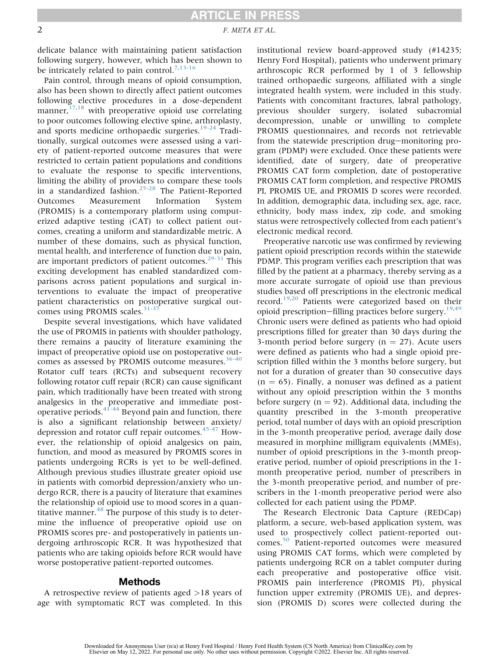## **ARTICLE IN PRESS**

#### 2 F. META ET AL.

delicate balance with maintaining patient satisfaction following surgery, however, which has been shown to be intricately related to pain control.<sup>[7,](#page-9-6)[13-16](#page-9-7)</sup>

Pain control, through means of opioid consumption, also has been shown to directly affect patient outcomes following elective procedures in a dose-dependent manner, $17,18$  $17,18$  with preoperative opioid use correlating to poor outcomes following elective spine, arthroplasty, and sports medicine orthopaedic surgeries.<sup>[19-24](#page-10-2)</sup> Traditionally, surgical outcomes were assessed using a variety of patient-reported outcome measures that were restricted to certain patient populations and conditions to evaluate the response to specific interventions, limiting the ability of providers to compare these tools in a standardized fashion.[25-28](#page-10-3) The Patient-Reported Outcomes Measurement Information System (PROMIS) is a contemporary platform using computerized adaptive testing (CAT) to collect patient outcomes, creating a uniform and standardizable metric. A number of these domains, such as physical function, mental health, and interference of function due to pain, are important predictors of patient outcomes. $29-31$  This exciting development has enabled standardized comparisons across patient populations and surgical interventions to evaluate the impact of preoperative patient characteristics on postoperative surgical outcomes using PROMIS scales. $31-37$ 

Despite several investigations, which have validated the use of PROMIS in patients with shoulder pathology, there remains a paucity of literature examining the impact of preoperative opioid use on postoperative out-comes as assessed by PROMIS outcome measures.<sup>[36-40](#page-10-6)</sup> Rotator cuff tears (RCTs) and subsequent recovery following rotator cuff repair (RCR) can cause significant pain, which traditionally have been treated with strong analgesics in the preoperative and immediate post-operative periods.<sup>[41-44](#page-10-7)</sup> Beyond pain and function, there is also a significant relationship between anxiety/ depression and rotator cuff repair outcomes.<sup>[45-47](#page-11-0)</sup> However, the relationship of opioid analgesics on pain, function, and mood as measured by PROMIS scores in patients undergoing RCRs is yet to be well-defined. Although previous studies illustrate greater opioid use in patients with comorbid depression/anxiety who undergo RCR, there is a paucity of literature that examines the relationship of opioid use to mood scores in a quantitative manner. $48$  The purpose of this study is to determine the influence of preoperative opioid use on PROMIS scores pre- and postoperatively in patients undergoing arthroscopic RCR. It was hypothesized that patients who are taking opioids before RCR would have worse postoperative patient-reported outcomes.

#### Methods

A retrospective review of patients aged >18 years of age with symptomatic RCT was completed. In this

institutional review board-approved study (#14235; Henry Ford Hospital), patients who underwent primary arthroscopic RCR performed by 1 of 3 fellowship trained orthopaedic surgeons, affiliated with a single integrated health system, were included in this study. Patients with concomitant fractures, labral pathology, previous shoulder surgery, isolated subacromial decompression, unable or unwilling to complete PROMIS questionnaires, and records not retrievable from the statewide prescription drug-monitoring program (PDMP) were excluded. Once these patients were identified, date of surgery, date of preoperative PROMIS CAT form completion, date of postoperative PROMIS CAT form completion, and respective PROMIS PI, PROMIS UE, and PROMIS D scores were recorded. In addition, demographic data, including sex, age, race, ethnicity, body mass index, zip code, and smoking status were retrospectively collected from each patient's electronic medical record.

Preoperative narcotic use was confirmed by reviewing patient opioid prescription records within the statewide PDMP. This program verifies each prescription that was filled by the patient at a pharmacy, thereby serving as a more accurate surrogate of opioid use than previous studies based off prescriptions in the electronic medical record.[19,](#page-10-2)[20](#page-10-8) Patients were categorized based on their opioid prescription-filling practices before surgery.<sup>19[,49](#page-11-2)</sup> Chronic users were defined as patients who had opioid prescriptions filled for greater than 30 days during the 3-month period before surgery ( $n = 27$ ). Acute users were defined as patients who had a single opioid prescription filled within the 3 months before surgery, but not for a duration of greater than 30 consecutive days  $(n = 65)$ . Finally, a nonuser was defined as a patient without any opioid prescription within the 3 months before surgery ( $n = 92$ ). Additional data, including the quantity prescribed in the 3-month preoperative period, total number of days with an opioid prescription in the 3-month preoperative period, average daily dose measured in morphine milligram equivalents (MMEs), number of opioid prescriptions in the 3-month preoperative period, number of opioid prescriptions in the 1 month preoperative period, number of prescribers in the 3-month preoperative period, and number of prescribers in the 1-month preoperative period were also collected for each patient using the PDMP.

The Research Electronic Data Capture (REDCap) platform, a secure, web-based application system, was used to prospectively collect patient-reported outcomes.[50](#page-11-3) Patient-reported outcomes were measured using PROMIS CAT forms, which were completed by patients undergoing RCR on a tablet computer during each preoperative and postoperative office visit. PROMIS pain interference (PROMIS PI), physical function upper extremity (PROMIS UE), and depression (PROMIS D) scores were collected during the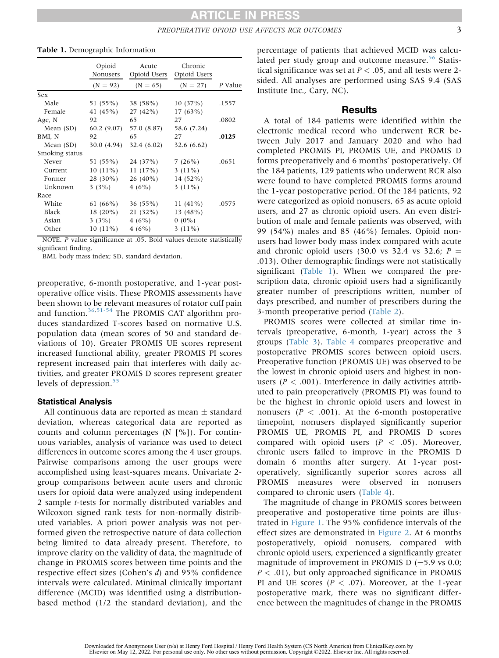|                | Opioid<br>Nonusers | Acute<br>Opioid Users | Chronic<br>Opioid Users |         |
|----------------|--------------------|-----------------------|-------------------------|---------|
|                | $(N = 92)$         | $(N = 65)$            | $(N = 27)$              | P Value |
| Sex            |                    |                       |                         |         |
| Male           | 51 (55%)           | 38 (58%)              | 10(37%)                 | .1557   |
| Female         | 41 (45%)           | $27(42\%)$            | $17(63\%)$              |         |
| Age, N         | 92                 | 65                    | 27                      | .0802   |
| Mean (SD)      | 60.2(9.07)         | 57.0 (8.87)           | 58.6 (7.24)             |         |
| BMI, N         | 92                 | 65                    | 27                      | .0125   |
| Mean (SD)      | 30.0 (4.94)        | 32.4(6.02)            | 32.6 $(6.62)$           |         |
| Smoking status |                    |                       |                         |         |
| Never          | 51 (55%)           | 24 (37%)              | 7(26%)                  | .0651   |
| Current        | $10(11\%)$         | 11(17%)               | $3(11\%)$               |         |
| Former         | 28 (30%)           | $26(40\%)$            | $14(52\%)$              |         |
| Unknown        | 3(3%)              | 4(6%)                 | $3(11\%)$               |         |
| Race           |                    |                       |                         |         |
| White          | 61 (66%)           | $36(55\%)$            | 11 $(41\%)$             | .0575   |
| Black          | $18(20\%)$         | 21(32%)               | 13 $(48%)$              |         |
| Asian          | 3 $(3%)$           | 4(6%)                 | $0(0\%)$                |         |
| Other          | $10(11\%)$         | 4(6%)                 | $3(11\%)$               |         |

#### <span id="page-4-0"></span>Table 1. Demographic Information

NOTE. P value significance at .05. Bold values denote statistically significant finding.

BMI, body mass index; SD, standard deviation.

preoperative, 6-month postoperative, and 1-year postoperative office visits. These PROMIS assessments have been shown to be relevant measures of rotator cuff pain and function.<sup>36,[51-54](#page-11-4)</sup> The PROMIS CAT algorithm produces standardized T-scores based on normative U.S. population data (mean scores of 50 and standard deviations of 10). Greater PROMIS UE scores represent increased functional ability, greater PROMIS PI scores represent increased pain that interferes with daily activities, and greater PROMIS D scores represent greater levels of depression.<sup>[55](#page-11-5)</sup>

#### Statistical Analysis

All continuous data are reported as mean  $\pm$  standard deviation, whereas categorical data are reported as counts and column percentages (N [%]). For continuous variables, analysis of variance was used to detect differences in outcome scores among the 4 user groups. Pairwise comparisons among the user groups were accomplished using least-squares means. Univariate 2 group comparisons between acute users and chronic users for opioid data were analyzed using independent 2 sample t-tests for normally distributed variables and Wilcoxon signed rank tests for non-normally distributed variables. A priori power analysis was not performed given the retrospective nature of data collection being limited to data already present. Therefore, to improve clarity on the validity of data, the magnitude of change in PROMIS scores between time points and the respective effect sizes (Cohen's d) and 95% confidence intervals were calculated. Minimal clinically important difference (MCID) was identified using a distributionbased method (1/2 the standard deviation), and the

percentage of patients that achieved MCID was calcu-lated per study group and outcome measure.<sup>[56](#page-11-6)</sup> Statistical significance was set at  $P < .05$ , and all tests were 2sided. All analyses are performed using SAS 9.4 (SAS Institute Inc., Cary, NC).

#### **Results**

A total of 184 patients were identified within the electronic medical record who underwent RCR between July 2017 and January 2020 and who had completed PROMIS PI, PROMIS UE, and PROMIS D forms preoperatively and 6 months' postoperatively. Of the 184 patients, 129 patients who underwent RCR also were found to have completed PROMIS forms around the 1-year postoperative period. Of the 184 patients, 92 were categorized as opioid nonusers, 65 as acute opioid users, and 27 as chronic opioid users. An even distribution of male and female patients was observed, with 99 (54%) males and 85 (46%) females. Opioid nonusers had lower body mass index compared with acute and chronic opioid users (30.0 vs 32.4 vs 32.6;  $P =$ .013). Other demographic findings were not statistically significant ([Table 1](#page-4-0)). When we compared the prescription data, chronic opioid users had a significantly greater number of prescriptions written, number of days prescribed, and number of prescribers during the 3-month preoperative period [\(Table 2](#page-5-0)).

PROMIS scores were collected at similar time intervals (preoperative, 6-month, 1-year) across the 3 groups [\(Table 3\)](#page-5-1). [Table 4](#page-6-0) compares preoperative and postoperative PROMIS scores between opioid users. Preoperative function (PROMIS UE) was observed to be the lowest in chronic opioid users and highest in nonusers ( $P < .001$ ). Interference in daily activities attributed to pain preoperatively (PROMIS PI) was found to be the highest in chronic opioid users and lowest in nonusers ( $P < .001$ ). At the 6-month postoperative timepoint, nonusers displayed significantly superior PROMIS UE, PROMIS PI, and PROMIS D scores compared with opioid users  $(P < .05)$ . Moreover, chronic users failed to improve in the PROMIS D domain 6 months after surgery. At 1-year postoperatively, significantly superior scores across all PROMIS measures were observed in nonusers compared to chronic users ([Table 4\)](#page-6-0).

The magnitude of change in PROMIS scores between preoperative and postoperative time points are illustrated in [Figure 1](#page-7-0). The 95% confidence intervals of the effect sizes are demonstrated in [Figure 2](#page-8-0). At 6 months postoperatively, opioid nonusers, compared with chronic opioid users, experienced a significantly greater magnitude of improvement in PROMIS D  $(-5.9 \text{ vs } 0.0;$  $P < .01$ ), but only approached significance in PROMIS PI and UE scores ( $P < .07$ ). Moreover, at the 1-year postoperative mark, there was no significant difference between the magnitudes of change in the PROMIS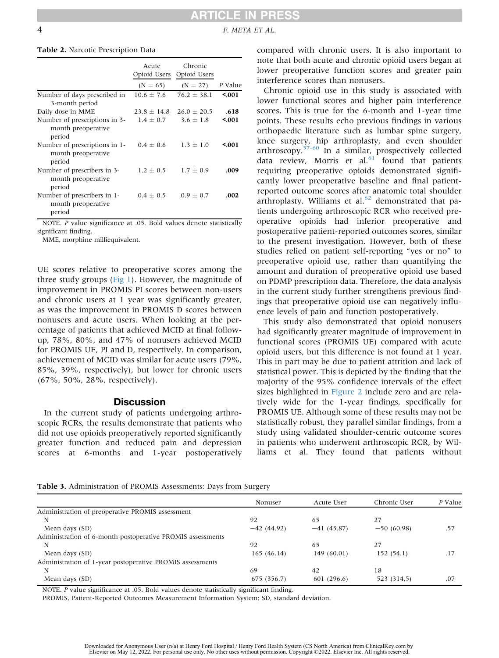**RTICLE IN PRESS** 

4 F. META ET AL.

#### <span id="page-5-0"></span>Table 2. Narcotic Prescription Data

|                                                               | Acute<br>Opioid Users | Chronic<br>Opioid Users |         |
|---------------------------------------------------------------|-----------------------|-------------------------|---------|
|                                                               | $(N = 65)$            | $(N = 27)$              | P Value |
| Number of days prescribed in                                  | $10.6 \pm 7.6$        | $76.2 \pm 38.1$         | 5001    |
| 3-month period                                                |                       |                         |         |
| Daily dose in MME                                             | $23.8 \pm 14.8$       | $26.0 \pm 20.5$         | .618    |
| Number of prescriptions in 3-<br>month preoperative<br>period | $1.4 + 0.7$           | $3.6 + 1.8$             | 5001    |
| Number of prescriptions in 1-<br>month preoperative<br>period | $0.4 + 0.6$           | $1.3 + 1.0$             | ≤.001   |
| Number of prescribers in 3-<br>month preoperative<br>period   | $1.2 \pm 0.5$         | $1.7 + 0.9$             | .009    |
| Number of prescribers in 1-<br>month preoperative<br>period   | $0.4 + 0.5$           | $0.9 + 0.7$             | .002    |

NOTE. P value significance at .05. Bold values denote statistically significant finding.

MME, morphine milliequivalent.

UE scores relative to preoperative scores among the three study groups [\(Fig 1](#page-7-0)). However, the magnitude of improvement in PROMIS PI scores between non-users and chronic users at 1 year was significantly greater, as was the improvement in PROMIS D scores between nonusers and acute users. When looking at the percentage of patients that achieved MCID at final followup, 78%, 80%, and 47% of nonusers achieved MCID for PROMIS UE, PI and D, respectively. In comparison, achievement of MCID was similar for acute users (79%, 85%, 39%, respectively), but lower for chronic users (67%, 50%, 28%, respectively).

#### **Discussion**

In the current study of patients undergoing arthroscopic RCRs, the results demonstrate that patients who did not use opioids preoperatively reported significantly greater function and reduced pain and depression scores at 6-months and 1-year postoperatively compared with chronic users. It is also important to note that both acute and chronic opioid users began at lower preoperative function scores and greater pain interference scores than nonusers.

Chronic opioid use in this study is associated with lower functional scores and higher pain interference scores. This is true for the 6-month and 1-year time points. These results echo previous findings in various orthopaedic literature such as lumbar spine surgery, knee surgery, hip arthroplasty, and even shoulder arthroscopy.<sup>[57-60](#page-11-7)</sup> In a similar, prospectively collected data review, Morris et al. $61$  found that patients requiring preoperative opioids demonstrated significantly lower preoperative baseline and final patientreported outcome scores after anatomic total shoulder arthroplasty. Williams et al. $62$  demonstrated that patients undergoing arthroscopic RCR who received preoperative opioids had inferior preoperative and postoperative patient-reported outcomes scores, similar to the present investigation. However, both of these studies relied on patient self-reporting "yes or no" to preoperative opioid use, rather than quantifying the amount and duration of preoperative opioid use based on PDMP prescription data. Therefore, the data analysis in the current study further strengthens previous findings that preoperative opioid use can negatively influence levels of pain and function postoperatively.

This study also demonstrated that opioid nonusers had significantly greater magnitude of improvement in functional scores (PROMIS UE) compared with acute opioid users, but this difference is not found at 1 year. This in part may be due to patient attrition and lack of statistical power. This is depicted by the finding that the majority of the 95% confidence intervals of the effect sizes highlighted in [Figure 2](#page-8-0) include zero and are relatively wide for the 1-year findings, specifically for PROMIS UE. Although some of these results may not be statistically robust, they parallel similar findings, from a study using validated shoulder-centric outcome scores in patients who underwent arthroscopic RCR, by Williams et al. They found that patients without

<span id="page-5-1"></span>

| Table 3. Administration of PROMIS Assessments: Days from Surgery |  |  |
|------------------------------------------------------------------|--|--|
|------------------------------------------------------------------|--|--|

|                                                            | Nonuser      | Acute User   | Chronic User | P Value |  |
|------------------------------------------------------------|--------------|--------------|--------------|---------|--|
| Administration of preoperative PROMIS assessment           |              |              |              |         |  |
| N                                                          | 92           | 65           | 27           |         |  |
| Mean days (SD)                                             | $-42(44.92)$ | $-41(45.87)$ | $-50(60.98)$ | .57     |  |
| Administration of 6-month postoperative PROMIS assessments |              |              |              |         |  |
| N                                                          | 92           | 65           | 27           |         |  |
| Mean days (SD)                                             | 165(46.14)   | 149 (60.01)  | 152 (54.1)   | .17     |  |
| Administration of 1-year postoperative PROMIS assessments  |              |              |              |         |  |
| N                                                          | 69           | 42           | 18           |         |  |
| Mean days (SD)                                             | 675 (356.7)  | 601 (296.6)  | 523 (314.5)  | .07     |  |

NOTE. P value significance at .05. Bold values denote statistically significant finding.

PROMIS, Patient-Reported Outcomes Measurement Information System; SD, standard deviation.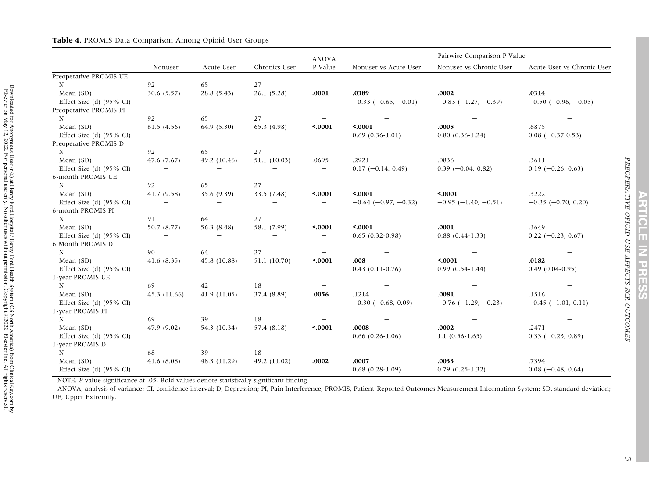Downloaded for Anonymous User (n/a) at Henry Ford Hospital / Henry Ford Health System (CS North America) from ClinicalKey.com by Elsevier on May 12, 2022. For personal use only. No other uses without permission. Copyright ©2022. Elsevier Inc. All rights reserved.

Downloaded for Anonymous User (n/a) at Henry Ford Hospital / Henry Ford Health System (CS North America) from ClinicalKey.com by Elsevier on May 12, 2022. For personal use only. No other uses without permission. Copyright

<span id="page-6-0"></span>

|                                     |                          |              |               | <b>ANOVA</b>             |                               | Pairwise Comparison P Value   |                               |  |
|-------------------------------------|--------------------------|--------------|---------------|--------------------------|-------------------------------|-------------------------------|-------------------------------|--|
|                                     | Nonuser                  | Acute User   | Chronics User | P Value                  | Nonuser vs Acute User         | Nonuser vs Chronic User       | Acute User vs Chronic User    |  |
| Preoperative PROMIS UE              |                          |              |               |                          |                               |                               |                               |  |
| N                                   | 92                       | 65           | 27            |                          |                               |                               |                               |  |
| Mean (SD)                           | 30.6 (5.57)              | 28.8(5.43)   | 26.1(5.28)    | .0001                    | .0389                         | .0002                         | .0314                         |  |
| Effect Size (d) $(95\% \text{ CI})$ | $\overline{\phantom{m}}$ |              |               | $\overline{\phantom{m}}$ | $-0.33$ $(-0.65, -0.01)$      | $-0.83$ $(-1.27, -0.39)$      | $-0.50$ ( $-0.96$ , $-0.05$ ) |  |
| Preoperative PROMIS PI              |                          |              |               |                          |                               |                               |                               |  |
| $\mathbf N$                         | 92                       | 65           | 27            | $\qquad \qquad -$        |                               |                               |                               |  |
| Mean (SD)                           | 61.5(4.56)               | 64.9 (5.30)  | 65.3 (4.98)   | 50001                    | 50001                         | .0005                         | .6875                         |  |
| Effect Size (d) $(95\% \text{ CI})$ |                          |              |               | $\qquad \qquad -$        | $0.69(0.36-1.01)$             | $0.80(0.36-1.24)$             | $0.08$ (-0.37 0.53)           |  |
| Preoperative PROMIS D               |                          |              |               |                          |                               |                               |                               |  |
| N                                   | 92                       | 65           | 27            | $\overline{\phantom{m}}$ |                               |                               |                               |  |
| Mean (SD)                           | 47.6 (7.67)              | 49.2 (10.46) | 51.1 (10.03)  | .0695                    | .2921                         | .0836                         | .3611                         |  |
| Effect Size (d) $(95\% \text{ CI})$ |                          |              |               | $\overline{\phantom{m}}$ | $0.17$ (-0.14, 0.49)          | $0.39$ (-0.04, 0.82)          | $0.19$ (-0.26, 0.63)          |  |
| 6-month PROMIS UE                   |                          |              |               |                          |                               |                               |                               |  |
| N                                   | 92                       | 65           | 27            |                          |                               |                               |                               |  |
| Mean (SD)                           | 41.7(9.58)               | 35.6 (9.39)  | 33.5 (7.48)   | 50001                    | 50001                         | 50001                         | .3222                         |  |
| Effect Size (d) $(95\% \text{ CI})$ |                          |              |               | $\qquad \qquad -$        | $-0.64$ ( $-0.97$ , $-0.32$ ) | $-0.95$ ( $-1.40$ , $-0.51$ ) | $-0.25$ ( $-0.70$ , 0.20)     |  |
| 6-month PROMIS PI                   |                          |              |               |                          |                               |                               |                               |  |
| N                                   | 91                       | 64           | 27            | $\qquad \qquad -$        |                               |                               |                               |  |
| Mean (SD)                           | 50.7 (8.77)              | 56.3 (8.48)  | 58.1 (7.99)   | 50001                    | 50001                         | .0001                         | .3649                         |  |
| Effect Size (d) $(95\% \text{ CI})$ | $\qquad \qquad -$        |              |               |                          | $0.65(0.32-0.98)$             | $0.88(0.44-1.33)$             | $0.22$ (-0.23, 0.67)          |  |
| 6 Month PROMIS D                    |                          |              |               |                          |                               |                               |                               |  |
| $\mathbf N$                         | 90                       | 64           | 27            |                          |                               |                               |                               |  |
| Mean (SD)                           | 41.6(8.35)               | 45.8 (10.88) | 51.1 (10.70)  | 50001                    | .008                          | 50001                         | .0182                         |  |
| Effect Size (d) $(95\% \text{ CI})$ | $\qquad \qquad -$        |              |               | $\qquad \qquad -$        | $0.43(0.11-0.76)$             | $0.99(0.54-1.44)$             | $0.49(0.04-0.95)$             |  |
| 1-year PROMIS UE                    |                          |              |               |                          |                               |                               |                               |  |
| $\mathbf N$                         | 69                       | 42           | 18            | $\overline{\phantom{m}}$ |                               |                               |                               |  |
| Mean (SD)                           | 45.3 (11.66)             | 41.9 (11.05) | 37.4 (8.89)   | .0056                    | .1214                         | .0081                         | .1516                         |  |
| Effect Size (d) (95% CI)            | $\overline{\phantom{m}}$ |              |               | $\overline{\phantom{m}}$ | $-0.30$ ( $-0.68$ , 0.09)     | $-0.76$ ( $-1.29$ , $-0.23$ ) | $-0.45$ ( $-1.01$ , 0.11)     |  |
| 1-year PROMIS PI                    |                          |              |               |                          |                               |                               |                               |  |
| N                                   | 69                       | 39           | 18            |                          |                               |                               |                               |  |
| Mean (SD)                           | 47.9 (9.02)              | 54.3 (10.34) | 57.4 (8.18)   | 50001                    | .0008                         | .0002                         | .2471                         |  |
| Effect Size (d) $(95\% \text{ CI})$ | $\overline{\phantom{0}}$ |              |               | $\qquad \qquad -$        | $0.66$ $(0.26-1.06)$          | $1.1(0.56-1.65)$              | $0.33$ (-0.23, 0.89)          |  |
| 1-year PROMIS D                     |                          |              |               |                          |                               |                               |                               |  |
| $\mathbf N$                         | 68                       | 39           | 18            |                          |                               |                               |                               |  |
| Mean (SD)                           | 41.6(8.08)               | 48.3 (11.29) | 49.2 (11.02)  | .0002                    | .0007                         | .0033                         | .7394                         |  |
| Effect Size (d) $(95\% \text{ CI})$ |                          |              |               |                          | $0.68(0.28-1.09)$             | $0.79(0.25-1.32)$             | $0.08$ (-0.48, 0.64)          |  |

NOTE. P value significance at .05. Bold values denote statistically significant finding.

ANOVA, analysis of variance; CI, confidence interval; D, Depression; PI, Pain Interference; PROMIS, Patient-Reported Outcomes Measurement Information System; SD, standard deviation; UE, Upper Extremity.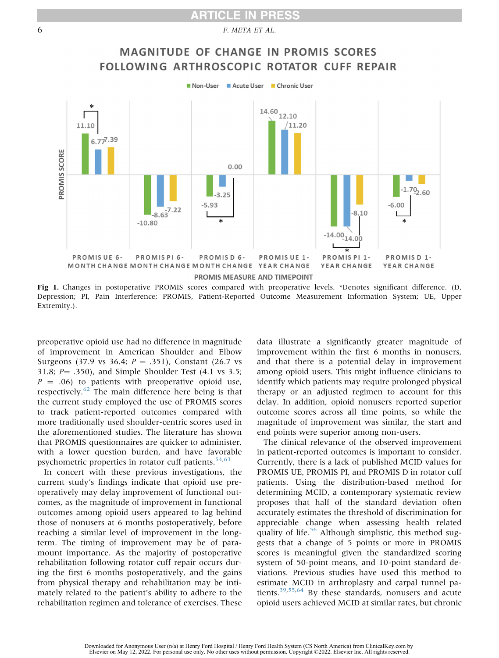### **ARTICLE IN PRESS**

<span id="page-7-0"></span>6 F. META ET AL.



Fig 1. Changes in postoperative PROMIS scores compared with preoperative levels. \*Denotes significant difference. (D, Depression; PI, Pain Interference; PROMIS, Patient-Reported Outcome Measurement Information System; UE, Upper Extremity.).

preoperative opioid use had no difference in magnitude of improvement in American Shoulder and Elbow Surgeons (37.9 vs 36.4;  $P = .351$ ), Constant (26.7 vs 31.8;  $P = .350$ ), and Simple Shoulder Test (4.1 vs 3.5;  $P = .06$ ) to patients with preoperative opioid use, respectively. $62$  The main difference here being is that the current study employed the use of PROMIS scores to track patient-reported outcomes compared with more traditionally used shoulder-centric scores used in the aforementioned studies. The literature has shown that PROMIS questionnaires are quicker to administer, with a lower question burden, and have favorable psychometric properties in rotator cuff patients. $54,63$  $54,63$ 

In concert with these previous investigations, the current study's findings indicate that opioid use preoperatively may delay improvement of functional outcomes, as the magnitude of improvement in functional outcomes among opioid users appeared to lag behind those of nonusers at 6 months postoperatively, before reaching a similar level of improvement in the longterm. The timing of improvement may be of paramount importance. As the majority of postoperative rehabilitation following rotator cuff repair occurs during the first 6 months postoperatively, and the gains from physical therapy and rehabilitation may be intimately related to the patient's ability to adhere to the rehabilitation regimen and tolerance of exercises. These

data illustrate a significantly greater magnitude of improvement within the first 6 months in nonusers, and that there is a potential delay in improvement among opioid users. This might influence clinicians to identify which patients may require prolonged physical therapy or an adjusted regimen to account for this delay. In addition, opioid nonusers reported superior outcome scores across all time points, so while the magnitude of improvement was similar, the start and end points were superior among non-users.

The clinical relevance of the observed improvement in patient-reported outcomes is important to consider. Currently, there is a lack of published MCID values for PROMIS UE, PROMIS PI, and PROMIS D in rotator cuff patients. Using the distribution-based method for determining MCID, a contemporary systematic review proposes that half of the standard deviation often accurately estimates the threshold of discrimination for appreciable change when assessing health related quality of life.<sup>[56](#page-11-6)</sup> Although simplistic, this method suggests that a change of 5 points or more in PROMIS scores is meaningful given the standardized scoring system of 50-point means, and 10-point standard deviations. Previous studies have used this method to estimate MCID in arthroplasty and carpal tunnel patients.[39,](#page-10-9)[55](#page-11-5)[,64](#page-11-12) By these standards, nonusers and acute opioid users achieved MCID at similar rates, but chronic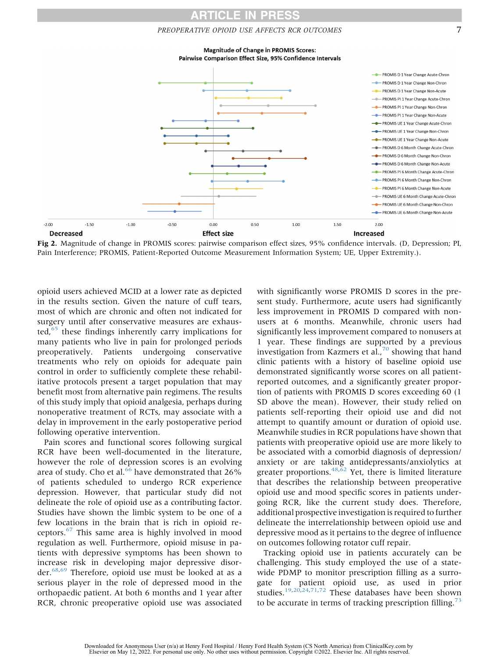#### PREOPERATIVE OPIOID USE AFFECTS RCR OUTCOMES 7

**Magnitude of Change in PROMIS Scores:** Pairwise Comparison Effect Size, 95% Confidence Intervals

<span id="page-8-0"></span>![](_page_8_Figure_3.jpeg)

Fig 2. Magnitude of change in PROMIS scores: pairwise comparison effect sizes, 95% confidence intervals. (D, Depression; PI, Pain Interference; PROMIS, Patient-Reported Outcome Measurement Information System; UE, Upper Extremity.).

opioid users achieved MCID at a lower rate as depicted in the results section. Given the nature of cuff tears, most of which are chronic and often not indicated for surgery until after conservative measures are exhausted, $65$  these findings inherently carry implications for many patients who live in pain for prolonged periods preoperatively. Patients undergoing conservative treatments who rely on opioids for adequate pain control in order to sufficiently complete these rehabilitative protocols present a target population that may benefit most from alternative pain regimens. The results of this study imply that opioid analgesia, perhaps during nonoperative treatment of RCTs, may associate with a delay in improvement in the early postoperative period following operative intervention.

Pain scores and functional scores following surgical RCR have been well-documented in the literature, however the role of depression scores is an evolving area of study. Cho et al.<sup>[66](#page-11-14)</sup> have demonstrated that 26% of patients scheduled to undergo RCR experience depression. However, that particular study did not delineate the role of opioid use as a contributing factor. Studies have shown the limbic system to be one of a few locations in the brain that is rich in opioid receptors.[67](#page-11-15) This same area is highly involved in mood regulation as well. Furthermore, opioid misuse in patients with depressive symptoms has been shown to increase risk in developing major depressive disorder.[68,](#page-11-16)[69](#page-11-17) Therefore, opioid use must be looked at as a serious player in the role of depressed mood in the orthopaedic patient. At both 6 months and 1 year after RCR, chronic preoperative opioid use was associated

with significantly worse PROMIS D scores in the present study. Furthermore, acute users had significantly less improvement in PROMIS D compared with nonusers at 6 months. Meanwhile, chronic users had significantly less improvement compared to nonusers at 1 year. These findings are supported by a previous investigation from Kazmers et al., $^{70}$  $^{70}$  $^{70}$  showing that hand clinic patients with a history of baseline opioid use demonstrated significantly worse scores on all patientreported outcomes, and a significantly greater proportion of patients with PROMIS D scores exceeding 60 (1 SD above the mean). However, their study relied on patients self-reporting their opioid use and did not attempt to quantify amount or duration of opioid use. Meanwhile studies in RCR populations have shown that patients with preoperative opioid use are more likely to be associated with a comorbid diagnosis of depression/ anxiety or are taking antidepressants/anxiolytics at greater proportions.<sup>[48,](#page-11-1)[62](#page-11-9)</sup> Yet, there is limited literature that describes the relationship between preoperative opioid use and mood specific scores in patients undergoing RCR, like the current study does. Therefore, additional prospective investigation is required to further delineate the interrelationship between opioid use and depressive mood as it pertains to the degree of influence on outcomes following rotator cuff repair.

Tracking opioid use in patients accurately can be challenging. This study employed the use of a statewide PDMP to monitor prescription filling as a surrogate for patient opioid use, as used in prior studies.<sup>[19](#page-10-2)[,20](#page-10-8)[,24,](#page-10-10)[71,](#page-11-19)[72](#page-11-20)</sup> These databases have been shown to be accurate in terms of tracking prescription filling.<sup>[73](#page-12-0)</sup>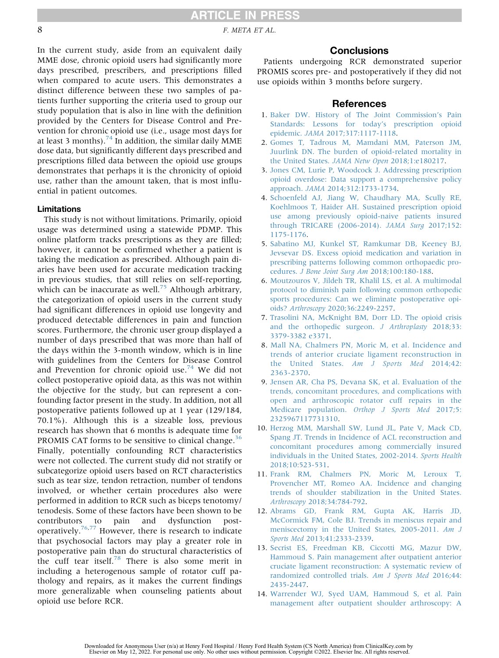### **ARTICLE IN PRESS**

8 F. META ET AL.

In the current study, aside from an equivalent daily MME dose, chronic opioid users had significantly more days prescribed, prescribers, and prescriptions filled when compared to acute users. This demonstrates a distinct difference between these two samples of patients further supporting the criteria used to group our study population that is also in line with the definition provided by the Centers for Disease Control and Prevention for chronic opioid use (i.e., usage most days for at least 3 months).<sup>[74](#page-12-1)</sup> In addition, the similar daily MME dose data, but significantly different days prescribed and prescriptions filled data between the opioid use groups demonstrates that perhaps it is the chronicity of opioid use, rather than the amount taken, that is most influential in patient outcomes.

#### Limitations

This study is not without limitations. Primarily, opioid usage was determined using a statewide PDMP. This online platform tracks prescriptions as they are filled; however, it cannot be confirmed whether a patient is taking the medication as prescribed. Although pain diaries have been used for accurate medication tracking in previous studies, that still relies on self-reporting, which can be inaccurate as well.<sup>[75](#page-12-2)</sup> Although arbitrary, the categorization of opioid users in the current study had significant differences in opioid use longevity and produced detectable differences in pain and function scores. Furthermore, the chronic user group displayed a number of days prescribed that was more than half of the days within the 3-month window, which is in line with guidelines from the Centers for Disease Control and Prevention for chronic opioid use.<sup>[74](#page-12-1)</sup> We did not collect postoperative opioid data, as this was not within the objective for the study, but can represent a confounding factor present in the study. In addition, not all postoperative patients followed up at 1 year (129/184, 70.1%). Although this is a sizeable loss, previous research has shown that 6 months is adequate time for PROMIS CAT forms to be sensitive to clinical change.<sup>[36](#page-10-6)</sup> Finally, potentially confounding RCT characteristics were not collected. The current study did not stratify or subcategorize opioid users based on RCT characteristics such as tear size, tendon retraction, number of tendons involved, or whether certain procedures also were performed in addition to RCR such as biceps tenotomy/ tenodesis. Some of these factors have been shown to be contributors to pain and dysfunction post-operatively.<sup>[76](#page-12-3),[77](#page-12-4)</sup> However, there is research to indicate that psychosocial factors may play a greater role in postoperative pain than do structural characteristics of the cuff tear itself.<sup>[78](#page-12-5)</sup> There is also some merit in including a heterogenous sample of rotator cuff pathology and repairs, as it makes the current findings more generalizable when counseling patients about opioid use before RCR.

#### **Conclusions**

Patients undergoing RCR demonstrated superior PROMIS scores pre- and postoperatively if they did not use opioids within 3 months before surgery.

#### References

- <span id="page-9-0"></span>1. [Baker DW. History of The Joint Commission](http://refhub.elsevier.com/S0749-8063(22)00224-9/sref1)'s Pain [Standards: Lessons for today](http://refhub.elsevier.com/S0749-8063(22)00224-9/sref1)'s prescription opioid epidemic. JAMA [2017;317:1117-1118](http://refhub.elsevier.com/S0749-8063(22)00224-9/sref1).
- <span id="page-9-1"></span>2. [Gomes T, Tadrous M, Mamdani MM, Paterson JM,](http://refhub.elsevier.com/S0749-8063(22)00224-9/sref2) [Juurlink DN. The burden of opioid-related mortality in](http://refhub.elsevier.com/S0749-8063(22)00224-9/sref2) [the United States.](http://refhub.elsevier.com/S0749-8063(22)00224-9/sref2) JAMA Netw Open 2018;1:e180217.
- <span id="page-9-2"></span>3. [Jones CM, Lurie P, Woodcock J. Addressing prescription](http://refhub.elsevier.com/S0749-8063(22)00224-9/sref3) [opioid overdose: Data support a comprehensive policy](http://refhub.elsevier.com/S0749-8063(22)00224-9/sref3) approach. JAMA [2014;312:1733-1734](http://refhub.elsevier.com/S0749-8063(22)00224-9/sref3).
- <span id="page-9-3"></span>4. [Schoenfeld AJ, Jiang W, Chaudhary MA, Scully RE,](http://refhub.elsevier.com/S0749-8063(22)00224-9/sref4) [Koehlmoos T, Haider AH. Sustained prescription opioid](http://refhub.elsevier.com/S0749-8063(22)00224-9/sref4) [use among previously opioid-naive patients insured](http://refhub.elsevier.com/S0749-8063(22)00224-9/sref4) [through TRICARE \(2006-2014\).](http://refhub.elsevier.com/S0749-8063(22)00224-9/sref4) JAMA Surg 2017;152: [1175-1176.](http://refhub.elsevier.com/S0749-8063(22)00224-9/sref4)
- <span id="page-9-4"></span>5. [Sabatino MJ, Kunkel ST, Ramkumar DB, Keeney BJ,](http://refhub.elsevier.com/S0749-8063(22)00224-9/sref5) [Jevsevar DS. Excess opioid medication and variation in](http://refhub.elsevier.com/S0749-8063(22)00224-9/sref5) [prescribing patterns following common orthopaedic pro](http://refhub.elsevier.com/S0749-8063(22)00224-9/sref5)cedures. [J Bone Joint Surg Am](http://refhub.elsevier.com/S0749-8063(22)00224-9/sref5) 2018;100:180-188.
- <span id="page-9-5"></span>6. [Moutzouros V, Jildeh TR, Khalil LS, et al. A multimodal](http://refhub.elsevier.com/S0749-8063(22)00224-9/sref6) [protocol to diminish pain following common orthopedic](http://refhub.elsevier.com/S0749-8063(22)00224-9/sref6) [sports procedures: Can we eliminate postoperative opi](http://refhub.elsevier.com/S0749-8063(22)00224-9/sref6)oids? Arthroscopy [2020;36:2249-2257.](http://refhub.elsevier.com/S0749-8063(22)00224-9/sref6)
- <span id="page-9-6"></span>7. [Trasolini NA, McKnight BM, Dorr LD. The opioid crisis](http://refhub.elsevier.com/S0749-8063(22)00224-9/sref7) [and the orthopedic surgeon.](http://refhub.elsevier.com/S0749-8063(22)00224-9/sref7) J Arthroplasty 2018;33: [3379-3382 e3371.](http://refhub.elsevier.com/S0749-8063(22)00224-9/sref7)
- 8. [Mall NA, Chalmers PN, Moric M, et al. Incidence and](http://refhub.elsevier.com/S0749-8063(22)00224-9/sref8) trends of anterior cruciate [ligament reconstruction in](http://refhub.elsevier.com/S0749-8063(22)00224-9/sref8) [the United States.](http://refhub.elsevier.com/S0749-8063(22)00224-9/sref8) Am J Sports Med 2014;42: [2363-2370.](http://refhub.elsevier.com/S0749-8063(22)00224-9/sref8)
- 9. [Jensen AR, Cha PS, Devana SK, et al. Evaluation of the](http://refhub.elsevier.com/S0749-8063(22)00224-9/sref9) [trends, concomitant procedures, and complications with](http://refhub.elsevier.com/S0749-8063(22)00224-9/sref9) [open and arthroscopic rotator cuff repairs in the](http://refhub.elsevier.com/S0749-8063(22)00224-9/sref9) Medicare population. [Orthop J Sports Med](http://refhub.elsevier.com/S0749-8063(22)00224-9/sref9) 2017;5: [2325967117731310](http://refhub.elsevier.com/S0749-8063(22)00224-9/sref9).
- 10. [Herzog MM, Marshall SW, Lund JL, Pate V, Mack CD,](http://refhub.elsevier.com/S0749-8063(22)00224-9/sref10) [Spang JT. Trends in Incidence of ACL reconstruction and](http://refhub.elsevier.com/S0749-8063(22)00224-9/sref10) [concomitant procedures among commercially insured](http://refhub.elsevier.com/S0749-8063(22)00224-9/sref10) [individuals in the United States, 2002-2014.](http://refhub.elsevier.com/S0749-8063(22)00224-9/sref10) Sports Health [2018;10:523-531](http://refhub.elsevier.com/S0749-8063(22)00224-9/sref10).
- 11. [Frank RM, Chalmers PN, Moric M, Leroux T,](http://refhub.elsevier.com/S0749-8063(22)00224-9/sref11) [Provencher MT, Romeo AA. Incidence and changing](http://refhub.elsevier.com/S0749-8063(22)00224-9/sref11) [trends of shoulder stabilization in the United States.](http://refhub.elsevier.com/S0749-8063(22)00224-9/sref11) Arthroscopy [2018;34:784-792.](http://refhub.elsevier.com/S0749-8063(22)00224-9/sref11)
- 12. [Abrams GD, Frank RM, Gupta AK, Harris JD,](http://refhub.elsevier.com/S0749-8063(22)00224-9/sref12) [McCormick FM, Cole BJ. Trends in meniscus repair and](http://refhub.elsevier.com/S0749-8063(22)00224-9/sref12) [meniscectomy in the United States, 2005-2011.](http://refhub.elsevier.com/S0749-8063(22)00224-9/sref12) Am J Sports Med [2013;41:2333-2339](http://refhub.elsevier.com/S0749-8063(22)00224-9/sref12).
- <span id="page-9-7"></span>13. [Secrist ES, Freedman KB, Ciccotti MG, Mazur DW,](http://refhub.elsevier.com/S0749-8063(22)00224-9/sref13) [Hammoud S. Pain management after outpatient anterior](http://refhub.elsevier.com/S0749-8063(22)00224-9/sref13) [cruciate ligament reconstruction: A systematic review of](http://refhub.elsevier.com/S0749-8063(22)00224-9/sref13) [randomized controlled trials.](http://refhub.elsevier.com/S0749-8063(22)00224-9/sref13) Am J Sports Med 2016;44: [2435-2447.](http://refhub.elsevier.com/S0749-8063(22)00224-9/sref13)
- 14. [Warrender WJ, Syed UAM, Hammoud S, et al. Pain](http://refhub.elsevier.com/S0749-8063(22)00224-9/sref14) [management after outpatient shoulder arthroscopy: A](http://refhub.elsevier.com/S0749-8063(22)00224-9/sref14)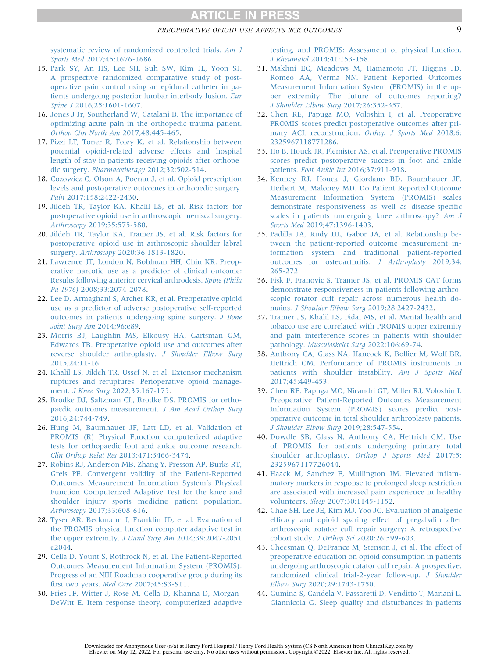#### PREOPERATIVE OPIOID USE AFFECTS RCR OUTCOMES 9

[systematic review of randomized controlled trials.](http://refhub.elsevier.com/S0749-8063(22)00224-9/sref14) Am J Sports Med [2017;45:1676-1686.](http://refhub.elsevier.com/S0749-8063(22)00224-9/sref14)

- 15. [Park SY, An HS, Lee SH, Suh SW, Kim JL, Yoon SJ.](http://refhub.elsevier.com/S0749-8063(22)00224-9/sref15) [A prospective randomized comparative study of post](http://refhub.elsevier.com/S0749-8063(22)00224-9/sref15)[operative pain control using an epidural catheter in pa](http://refhub.elsevier.com/S0749-8063(22)00224-9/sref15)[tients undergoing posterior lumbar interbody fusion.](http://refhub.elsevier.com/S0749-8063(22)00224-9/sref15) Eur Spine J [2016;25:1601-1607](http://refhub.elsevier.com/S0749-8063(22)00224-9/sref15).
- 16. [Jones J Jr, Southerland W, Catalani B. The importance of](http://refhub.elsevier.com/S0749-8063(22)00224-9/sref16) [optimizing acute pain in the orthopedic trauma patient.](http://refhub.elsevier.com/S0749-8063(22)00224-9/sref16) [Orthop Clin North Am](http://refhub.elsevier.com/S0749-8063(22)00224-9/sref16) 2017;48:445-465.
- <span id="page-10-0"></span>17. [Pizzi LT, Toner R, Foley K, et al. Relationship between](http://refhub.elsevier.com/S0749-8063(22)00224-9/sref17) [potential opioid-related adverse effects and hospital](http://refhub.elsevier.com/S0749-8063(22)00224-9/sref17) [length of stay in patients receiving opioids after orthope](http://refhub.elsevier.com/S0749-8063(22)00224-9/sref17)dic surgery. Pharmacotherapy [2012;32:502-514](http://refhub.elsevier.com/S0749-8063(22)00224-9/sref17).
- <span id="page-10-1"></span>18. [Cozowicz C, Olson A, Poeran J, et al. Opioid prescription](http://refhub.elsevier.com/S0749-8063(22)00224-9/sref18) [levels and postoperative outcomes in orthopedic surgery.](http://refhub.elsevier.com/S0749-8063(22)00224-9/sref18) Pain [2017;158:2422-2430](http://refhub.elsevier.com/S0749-8063(22)00224-9/sref18).
- <span id="page-10-2"></span>19. [Jildeh TR, Taylor KA, Khalil LS, et al. Risk factors for](http://refhub.elsevier.com/S0749-8063(22)00224-9/sref19) [postoperative opioid use in arthroscopic meniscal surgery.](http://refhub.elsevier.com/S0749-8063(22)00224-9/sref19) Arthroscopy [2019;35:575-580](http://refhub.elsevier.com/S0749-8063(22)00224-9/sref19).
- <span id="page-10-8"></span>20. [Jildeh TR, Taylor KA, Tramer JS, et al. Risk factors for](http://refhub.elsevier.com/S0749-8063(22)00224-9/sref20) [postoperative opioid use in arthroscopic shoulder labral](http://refhub.elsevier.com/S0749-8063(22)00224-9/sref20) surgery. Arthroscopy [2020;36:1813-1820.](http://refhub.elsevier.com/S0749-8063(22)00224-9/sref20)
- 21. [Lawrence JT, London N, Bohlman HH, Chin KR. Preop](http://refhub.elsevier.com/S0749-8063(22)00224-9/sref21)[erative narcotic use as a predictor of clinical outcome:](http://refhub.elsevier.com/S0749-8063(22)00224-9/sref21) [Results following anterior cervical arthrodesis.](http://refhub.elsevier.com/S0749-8063(22)00224-9/sref21) Spine (Phila Pa 1976) [2008;33:2074-2078.](http://refhub.elsevier.com/S0749-8063(22)00224-9/sref21)
- 22. [Lee D, Armaghani S, Archer KR, et al. Preoperative opioid](http://refhub.elsevier.com/S0749-8063(22)00224-9/sref22) [use as a predictor of adverse postoperative self-reported](http://refhub.elsevier.com/S0749-8063(22)00224-9/sref22) [outcomes in patients undergoing spine surgery.](http://refhub.elsevier.com/S0749-8063(22)00224-9/sref22) J Bone [Joint Surg Am](http://refhub.elsevier.com/S0749-8063(22)00224-9/sref22) 2014;96:e89.
- 23. [Morris BJ, Laughlin MS, Elkousy HA, Gartsman GM,](http://refhub.elsevier.com/S0749-8063(22)00224-9/sref23) [Edwards TB. Preoperative opioid use and outcomes after](http://refhub.elsevier.com/S0749-8063(22)00224-9/sref23) [reverse shoulder arthroplasty.](http://refhub.elsevier.com/S0749-8063(22)00224-9/sref23) J Shoulder Elbow Surg [2015;24:11-16.](http://refhub.elsevier.com/S0749-8063(22)00224-9/sref23)
- <span id="page-10-10"></span>24. [Khalil LS, Jildeh TR, Ussef N, et al. Extensor mechanism](http://refhub.elsevier.com/S0749-8063(22)00224-9/sref24) [ruptures and reruptures: Perioperative opioid manage](http://refhub.elsevier.com/S0749-8063(22)00224-9/sref24)ment. J Knee Surg [2022;35:167-175](http://refhub.elsevier.com/S0749-8063(22)00224-9/sref24).
- <span id="page-10-3"></span>25. [Brodke DJ, Saltzman CL, Brodke DS. PROMIS for ortho](http://refhub.elsevier.com/S0749-8063(22)00224-9/sref25)[paedic outcomes measurement.](http://refhub.elsevier.com/S0749-8063(22)00224-9/sref25) J Am Acad Orthop Surg [2016;24:744-749.](http://refhub.elsevier.com/S0749-8063(22)00224-9/sref25)
- 26. [Hung M, Baumhauer JF, Latt LD, et al. Validation of](http://refhub.elsevier.com/S0749-8063(22)00224-9/sref26) [PROMIS \(R\) Physical Function computerized adaptive](http://refhub.elsevier.com/S0749-8063(22)00224-9/sref26) [tests for orthopaedic foot and ankle outcome research.](http://refhub.elsevier.com/S0749-8063(22)00224-9/sref26) Clin Orthop Relat Res [2013;471:3466-3474.](http://refhub.elsevier.com/S0749-8063(22)00224-9/sref26)
- 27. [Robins RJ, Anderson MB, Zhang Y, Presson AP, Burks RT,](http://refhub.elsevier.com/S0749-8063(22)00224-9/sref27) [Greis PE. Convergent validity of the Patient-Reported](http://refhub.elsevier.com/S0749-8063(22)00224-9/sref27) [Outcomes Measurement Information System](http://refhub.elsevier.com/S0749-8063(22)00224-9/sref27)'s Physical [Function Computerized Adaptive Test for the knee and](http://refhub.elsevier.com/S0749-8063(22)00224-9/sref27) [shoulder injury sports medicine patient population.](http://refhub.elsevier.com/S0749-8063(22)00224-9/sref27) Arthroscopy [2017;33:608-616](http://refhub.elsevier.com/S0749-8063(22)00224-9/sref27).
- 28. [Tyser AR, Beckmann J, Franklin JD, et al. Evaluation of](http://refhub.elsevier.com/S0749-8063(22)00224-9/sref28) [the PROMIS physical function computer adaptive test in](http://refhub.elsevier.com/S0749-8063(22)00224-9/sref28) [the upper extremity.](http://refhub.elsevier.com/S0749-8063(22)00224-9/sref28) J Hand Surg Am 2014;39:2047-2051 [e2044](http://refhub.elsevier.com/S0749-8063(22)00224-9/sref28).
- <span id="page-10-4"></span>29. [Cella D, Yount S, Rothrock N, et al. The Patient-Reported](http://refhub.elsevier.com/S0749-8063(22)00224-9/sref29) [Outcomes Measurement Information System \(PROMIS\):](http://refhub.elsevier.com/S0749-8063(22)00224-9/sref29) [Progress of an NIH Roadmap cooperative group during its](http://refhub.elsevier.com/S0749-8063(22)00224-9/sref29) first two years. Med Care [2007;45:S3-S11.](http://refhub.elsevier.com/S0749-8063(22)00224-9/sref29)
- 30. [Fries JF, Witter J, Rose M, Cella D, Khanna D, Morgan-](http://refhub.elsevier.com/S0749-8063(22)00224-9/sref30)[DeWitt E. Item response theory, computerized adaptive](http://refhub.elsevier.com/S0749-8063(22)00224-9/sref30)

[testing, and PROMIS: Assessment of physical function.](http://refhub.elsevier.com/S0749-8063(22)00224-9/sref30) J Rheumatol [2014;41:153-158](http://refhub.elsevier.com/S0749-8063(22)00224-9/sref30).

- <span id="page-10-5"></span>31. [Makhni EC, Meadows M, Hamamoto JT, Higgins JD,](http://refhub.elsevier.com/S0749-8063(22)00224-9/sref31) [Romeo AA, Verma NN. Patient Reported Outcomes](http://refhub.elsevier.com/S0749-8063(22)00224-9/sref31) [Measurement Information System \(PROMIS\) in the up](http://refhub.elsevier.com/S0749-8063(22)00224-9/sref31)[per extremity: The future of outcomes reporting?](http://refhub.elsevier.com/S0749-8063(22)00224-9/sref31) [J Shoulder Elbow Surg](http://refhub.elsevier.com/S0749-8063(22)00224-9/sref31) 2017;26:352-357.
- 32. [Chen RE, Papuga MO, Voloshin I, et al. Preoperative](http://refhub.elsevier.com/S0749-8063(22)00224-9/sref32) [PROMIS scores predict postoperative outcomes after pri](http://refhub.elsevier.com/S0749-8063(22)00224-9/sref32)[mary ACL reconstruction.](http://refhub.elsevier.com/S0749-8063(22)00224-9/sref32) Orthop J Sports Med 2018;6: [2325967118771286.](http://refhub.elsevier.com/S0749-8063(22)00224-9/sref32)
- 33. [Ho B, Houck JR, Flemister AS, et al. Preoperative PROMIS](http://refhub.elsevier.com/S0749-8063(22)00224-9/sref33) [scores predict postoperative success in foot and ankle](http://refhub.elsevier.com/S0749-8063(22)00224-9/sref33) patients. Foot Ankle Int [2016;37:911-918](http://refhub.elsevier.com/S0749-8063(22)00224-9/sref33).
- 34. [Kenney RJ, Houck J, Giordano BD, Baumhauer JF,](http://refhub.elsevier.com/S0749-8063(22)00224-9/sref34) [Herbert M, Maloney MD. Do Patient Reported Outcome](http://refhub.elsevier.com/S0749-8063(22)00224-9/sref34) [Measurement Information System \(PROMIS\) scales](http://refhub.elsevier.com/S0749-8063(22)00224-9/sref34) [demonstrate responsiveness as well as disease-speci](http://refhub.elsevier.com/S0749-8063(22)00224-9/sref34)fic [scales in patients undergoing knee arthroscopy?](http://refhub.elsevier.com/S0749-8063(22)00224-9/sref34) Am J Sports Med [2019;47:1396-1403](http://refhub.elsevier.com/S0749-8063(22)00224-9/sref34).
- 35. [Padilla JA, Rudy HL, Gabor JA, et al. Relationship be](http://refhub.elsevier.com/S0749-8063(22)00224-9/sref35)[tween the patient-reported outcome measurement in](http://refhub.elsevier.com/S0749-8063(22)00224-9/sref35)[formation system and traditional patient-reported](http://refhub.elsevier.com/S0749-8063(22)00224-9/sref35) [outcomes for osteoarthritis.](http://refhub.elsevier.com/S0749-8063(22)00224-9/sref35) J Arthroplasty 2019;34: [265-272.](http://refhub.elsevier.com/S0749-8063(22)00224-9/sref35)
- <span id="page-10-6"></span>36. [Fisk F, Franovic S, Tramer JS, et al. PROMIS CAT forms](http://refhub.elsevier.com/S0749-8063(22)00224-9/sref36) [demonstrate responsiveness in patients following arthro](http://refhub.elsevier.com/S0749-8063(22)00224-9/sref36)[scopic rotator cuff repair across numerous health do](http://refhub.elsevier.com/S0749-8063(22)00224-9/sref36)mains. [J Shoulder Elbow Surg](http://refhub.elsevier.com/S0749-8063(22)00224-9/sref36) 2019;28:2427-2432.
- 37. [Tramer JS, Khalil LS, Fidai MS, et al. Mental health and](http://refhub.elsevier.com/S0749-8063(22)00224-9/sref37) [tobacco use are correlated with PROMIS upper extremity](http://refhub.elsevier.com/S0749-8063(22)00224-9/sref37) [and pain interference scores in patients with shoulder](http://refhub.elsevier.com/S0749-8063(22)00224-9/sref37) pathology. [Musculoskelet Surg](http://refhub.elsevier.com/S0749-8063(22)00224-9/sref37) 2022;106:69-74.
- 38. [Anthony CA, Glass NA, Hancock K, Bollier M, Wolf BR,](http://refhub.elsevier.com/S0749-8063(22)00224-9/sref38) [Hettrich CM. Performance of PROMIS instruments in](http://refhub.elsevier.com/S0749-8063(22)00224-9/sref38) [patients with shoulder instability.](http://refhub.elsevier.com/S0749-8063(22)00224-9/sref38) Am J Sports Med [2017;45:449-453](http://refhub.elsevier.com/S0749-8063(22)00224-9/sref38).
- <span id="page-10-9"></span>39. [Chen RE, Papuga MO, Nicandri GT, Miller RJ, Voloshin I.](http://refhub.elsevier.com/S0749-8063(22)00224-9/sref39) [Preoperative Patient-Reported Outcomes Measurement](http://refhub.elsevier.com/S0749-8063(22)00224-9/sref39) [Information System \(PROMIS\) scores predict post](http://refhub.elsevier.com/S0749-8063(22)00224-9/sref39)[operative outcome in total shoulder arthroplasty patients.](http://refhub.elsevier.com/S0749-8063(22)00224-9/sref39) [J Shoulder Elbow Surg](http://refhub.elsevier.com/S0749-8063(22)00224-9/sref39) 2019;28:547-554.
- 40. [Dowdle SB, Glass N, Anthony CA, Hettrich CM. Use](http://refhub.elsevier.com/S0749-8063(22)00224-9/sref40) [of PROMIS for patients undergoing primary total](http://refhub.elsevier.com/S0749-8063(22)00224-9/sref40) [shoulder arthroplasty.](http://refhub.elsevier.com/S0749-8063(22)00224-9/sref40) Orthop J Sports Med 2017;5: [2325967117726044](http://refhub.elsevier.com/S0749-8063(22)00224-9/sref40).
- <span id="page-10-7"></span>41. [Haack M, Sanchez E, Mullington JM. Elevated in](http://refhub.elsevier.com/S0749-8063(22)00224-9/sref41)flam[matory markers in response to prolonged sleep restriction](http://refhub.elsevier.com/S0749-8063(22)00224-9/sref41) [are associated with increased pain experience in healthy](http://refhub.elsevier.com/S0749-8063(22)00224-9/sref41) volunteers. Sleep [2007;30:1145-1152.](http://refhub.elsevier.com/S0749-8063(22)00224-9/sref41)
- 42. [Chae SH, Lee JE, Kim MJ, Yoo JC. Evaluation of analgesic](http://refhub.elsevier.com/S0749-8063(22)00224-9/sref42) effi[cacy and opioid sparing effect of pregabalin after](http://refhub.elsevier.com/S0749-8063(22)00224-9/sref42) [arthroscopic rotator cuff repair surgery: A retrospective](http://refhub.elsevier.com/S0749-8063(22)00224-9/sref42) cohort study. J Orthop Sci [2020;26:599-603.](http://refhub.elsevier.com/S0749-8063(22)00224-9/sref42)
- 43. [Cheesman Q, DeFrance M, Stenson J, et al. The effect of](http://refhub.elsevier.com/S0749-8063(22)00224-9/sref43) [preoperative education on opioid consumption in patients](http://refhub.elsevier.com/S0749-8063(22)00224-9/sref43) [undergoing arthroscopic rotator cuff repair: A prospective,](http://refhub.elsevier.com/S0749-8063(22)00224-9/sref43) [randomized clinical trial-2-year follow-up.](http://refhub.elsevier.com/S0749-8063(22)00224-9/sref43) J Shoulder Elbow Surg [2020;29:1743-1750.](http://refhub.elsevier.com/S0749-8063(22)00224-9/sref43)
- 44. [Gumina S, Candela V, Passaretti D, Venditto T, Mariani L,](http://refhub.elsevier.com/S0749-8063(22)00224-9/sref44) [Giannicola G. Sleep quality and disturbances in patients](http://refhub.elsevier.com/S0749-8063(22)00224-9/sref44)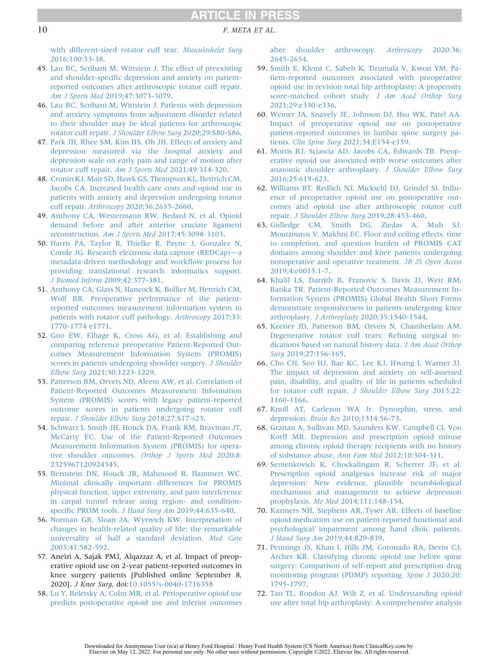#### 10 F. META ET AL.

[with different-sized rotator cuff tear.](http://refhub.elsevier.com/S0749-8063(22)00224-9/sref44) Musculoskelet Surg [2016;100:33-38.](http://refhub.elsevier.com/S0749-8063(22)00224-9/sref44)

- <span id="page-11-0"></span>45. [Lau BC, Scribani M, Wittstein J. The effect of preexisting](http://refhub.elsevier.com/S0749-8063(22)00224-9/sref45) and shoulder-specifi[c depression and anxiety on patient](http://refhub.elsevier.com/S0749-8063(22)00224-9/sref45)[reported outcomes after arthroscopic rotator cuff repair.](http://refhub.elsevier.com/S0749-8063(22)00224-9/sref45) Am J Sports Med [2019;47:3073-3079](http://refhub.elsevier.com/S0749-8063(22)00224-9/sref45).
- 46. [Lau BC, Scribani M, Wittstein J. Patients with depression](http://refhub.elsevier.com/S0749-8063(22)00224-9/sref46) [and anxiety symptoms from adjustment disorder related](http://refhub.elsevier.com/S0749-8063(22)00224-9/sref46) [to their shoulder may be ideal patients for arthroscopic](http://refhub.elsevier.com/S0749-8063(22)00224-9/sref46) rotator cuff repair. [J Shoulder Elbow Surg](http://refhub.elsevier.com/S0749-8063(22)00224-9/sref46) 2020;29:S80-S86.
- 47. [Park JH, Rhee SM, Kim HS, Oh JH. Effects of anxiety and](http://refhub.elsevier.com/S0749-8063(22)00224-9/sref47) [depression measured via the hospital anxiety and](http://refhub.elsevier.com/S0749-8063(22)00224-9/sref47) [depression scale on early pain and range of motion after](http://refhub.elsevier.com/S0749-8063(22)00224-9/sref47) [rotator cuff repair.](http://refhub.elsevier.com/S0749-8063(22)00224-9/sref47) Am J Sports Med 2021;49:314-320.
- <span id="page-11-1"></span>48. [Cronin KJ, Mair SD, Hawk GS, Thompson KL, Hettrich CM,](http://refhub.elsevier.com/S0749-8063(22)00224-9/sref48) [Jacobs CA. Increased health care costs and opioid use in](http://refhub.elsevier.com/S0749-8063(22)00224-9/sref48) [patients with anxiety and depression undergoing rotator](http://refhub.elsevier.com/S0749-8063(22)00224-9/sref48) cuff repair. Arthroscopy [2020;36:2655-2660.](http://refhub.elsevier.com/S0749-8063(22)00224-9/sref48)
- <span id="page-11-2"></span>49. [Anthony CA, Westermann RW, Bedard N, et al. Opioid](http://refhub.elsevier.com/S0749-8063(22)00224-9/sref49) [demand before and after anterior cruciate ligament](http://refhub.elsevier.com/S0749-8063(22)00224-9/sref49) reconstruction. Am J Sports Med [2017;45:3098-3103.](http://refhub.elsevier.com/S0749-8063(22)00224-9/sref49)
- <span id="page-11-3"></span>50. [Harris PA, Taylor R, Thielke R, Payne J, Gonzalez N,](http://refhub.elsevier.com/S0749-8063(22)00224-9/sref50) [Conde JG. Research electronic data capture \(REDCap\)](http://refhub.elsevier.com/S0749-8063(22)00224-9/sref50)-[a](http://refhub.elsevier.com/S0749-8063(22)00224-9/sref50) [metadata-driven methodology and work](http://refhub.elsevier.com/S0749-8063(22)00224-9/sref50)flow process for [providing translational research informatics support.](http://refhub.elsevier.com/S0749-8063(22)00224-9/sref50) J Biomed Inform [2009;42:377-381.](http://refhub.elsevier.com/S0749-8063(22)00224-9/sref50)
- <span id="page-11-4"></span>51. [Anthony CA, Glass N, Hancock K, Bollier M, Hettrich CM,](http://refhub.elsevier.com/S0749-8063(22)00224-9/sref51) [Wolf BR. Preoperative performance of the patient](http://refhub.elsevier.com/S0749-8063(22)00224-9/sref51)[reported outcomes measurement information system in](http://refhub.elsevier.com/S0749-8063(22)00224-9/sref51) [patients with rotator cuff pathology.](http://refhub.elsevier.com/S0749-8063(22)00224-9/sref51) Arthroscopy 2017;33: [1770-1774 e1771](http://refhub.elsevier.com/S0749-8063(22)00224-9/sref51).
- 52. [Guo EW, Elhage K, Cross AG, et al. Establishing and](http://refhub.elsevier.com/S0749-8063(22)00224-9/sref52) [comparing reference preoperative Patient-Reported Out](http://refhub.elsevier.com/S0749-8063(22)00224-9/sref52)[comes Measurement Information System \(PROMIS\)](http://refhub.elsevier.com/S0749-8063(22)00224-9/sref52) [scores in patients undergoing shoulder surgery.](http://refhub.elsevier.com/S0749-8063(22)00224-9/sref52) J Shoulder Elbow Surg [2021;30:1223-1229](http://refhub.elsevier.com/S0749-8063(22)00224-9/sref52).
- 53. [Patterson BM, Orvets ND, Aleem AW, et al. Correlation of](http://refhub.elsevier.com/S0749-8063(22)00224-9/sref53) [Patient-Reported Outcomes Measurement Information](http://refhub.elsevier.com/S0749-8063(22)00224-9/sref53) [System \(PROMIS\) scores with legacy patient-reported](http://refhub.elsevier.com/S0749-8063(22)00224-9/sref53) [outcome scores in patients undergoing rotator cuff](http://refhub.elsevier.com/S0749-8063(22)00224-9/sref53) repair. [J Shoulder Elbow Surg](http://refhub.elsevier.com/S0749-8063(22)00224-9/sref53) 2018;27:S17-s23.
- <span id="page-11-10"></span>54. [Schwarz I, Smith JH, Houck DA, Frank RM, Bravman JT,](http://refhub.elsevier.com/S0749-8063(22)00224-9/sref54) [McCarty EC. Use of the Patient-Reported Outcomes](http://refhub.elsevier.com/S0749-8063(22)00224-9/sref54) [Measurement Information System \(PROMIS\) for opera](http://refhub.elsevier.com/S0749-8063(22)00224-9/sref54)[tive shoulder outcomes.](http://refhub.elsevier.com/S0749-8063(22)00224-9/sref54) Orthop J Sports Med 2020;8: [2325967120924345](http://refhub.elsevier.com/S0749-8063(22)00224-9/sref54).
- <span id="page-11-5"></span>55. [Bernstein DN, Houck JR, Mahmood B, Hammert WC.](http://refhub.elsevier.com/S0749-8063(22)00224-9/sref55) [Minimal clinically important differences for PROMIS](http://refhub.elsevier.com/S0749-8063(22)00224-9/sref55) [physical function, upper extremity, and pain interference](http://refhub.elsevier.com/S0749-8063(22)00224-9/sref55) [in carpal tunnel release using region- and condition](http://refhub.elsevier.com/S0749-8063(22)00224-9/sref55)specific PROM tools. J Hand Surg Am [2019;44:635-640](http://refhub.elsevier.com/S0749-8063(22)00224-9/sref55).
- <span id="page-11-6"></span>56. [Norman GR, Sloan JA, Wyrwich KW. Interpretation of](http://refhub.elsevier.com/S0749-8063(22)00224-9/sref56) [changes in health-related quality of life: the remarkable](http://refhub.elsevier.com/S0749-8063(22)00224-9/sref56) [universality of half a standard deviation.](http://refhub.elsevier.com/S0749-8063(22)00224-9/sref56) Med Care [2003;41:582-592.](http://refhub.elsevier.com/S0749-8063(22)00224-9/sref56)
- <span id="page-11-7"></span>57. Aneizi A, Sajak PMJ, Alqazzaz A, et al. Impact of preoperative opioid use on 2-year patient-reported outcomes in knee surgery patients [Published online September 8, 2020]. J Knee Surg, doi[:10.1055/s-0040-1716358](https://doi.org/10.1055/s-0040-1716358)
- 58. [Lu Y, Beletsky A, Cohn MR, et al. Perioperative opioid use](http://refhub.elsevier.com/S0749-8063(22)00224-9/sref58) [predicts postoperative opioid use and inferior outcomes](http://refhub.elsevier.com/S0749-8063(22)00224-9/sref58)

[after shoulder arthroscopy.](http://refhub.elsevier.com/S0749-8063(22)00224-9/sref58) Arthroscopy 2020;36: [2645-2654.](http://refhub.elsevier.com/S0749-8063(22)00224-9/sref58)

- 59. [Smith E, Klemt C, Sabeh K, Tirumala V, Kwon YM. Pa](http://refhub.elsevier.com/S0749-8063(22)00224-9/sref59)[tient-reported outcomes associated with preoperative](http://refhub.elsevier.com/S0749-8063(22)00224-9/sref59) [opioid use in revision total hip arthroplasty: A propensity](http://refhub.elsevier.com/S0749-8063(22)00224-9/sref59) [score-matched cohort study.](http://refhub.elsevier.com/S0749-8063(22)00224-9/sref59) J Am Acad Orthop Surg [2021;29:e330-e336](http://refhub.elsevier.com/S0749-8063(22)00224-9/sref59).
- 60. [Weiner JA, Snavely JE, Johnson DJ, Hsu WK, Patel AA.](http://refhub.elsevier.com/S0749-8063(22)00224-9/sref60) [Impact of preoperative opioid use on postoperative](http://refhub.elsevier.com/S0749-8063(22)00224-9/sref60) [patient-reported outcomes in lumbar spine surgery pa](http://refhub.elsevier.com/S0749-8063(22)00224-9/sref60)tients. Clin Spine Surg [2021;34:E154-e159](http://refhub.elsevier.com/S0749-8063(22)00224-9/sref60).
- <span id="page-11-8"></span>61. [Morris BJ, Sciascia AD, Jacobs CA, Edwards TB. Preop](http://refhub.elsevier.com/S0749-8063(22)00224-9/sref61)[erative opioid use associated with worse outcomes after](http://refhub.elsevier.com/S0749-8063(22)00224-9/sref61) [anatomic shoulder arthroplasty.](http://refhub.elsevier.com/S0749-8063(22)00224-9/sref61) J Shoulder Elbow Surg [2016;25:619-623](http://refhub.elsevier.com/S0749-8063(22)00224-9/sref61).
- <span id="page-11-9"></span>62. [Williams BT, Redlich NJ, Mickschl DJ, Grindel SI. In](http://refhub.elsevier.com/S0749-8063(22)00224-9/sref62)flu[ence of preoperative opioid use on postoperative out](http://refhub.elsevier.com/S0749-8063(22)00224-9/sref62)[comes and opioid use after arthroscopic rotator cuff](http://refhub.elsevier.com/S0749-8063(22)00224-9/sref62) repair. [J Shoulder Elbow Surg](http://refhub.elsevier.com/S0749-8063(22)00224-9/sref62) 2019;28:453-460.
- <span id="page-11-11"></span>63. [Gulledge CM, Smith DG, Ziedas A, Muh SJ,](http://refhub.elsevier.com/S0749-8063(22)00224-9/sref63) [Moutzouros V, Makhni EC. Floor and ceiling effects, time](http://refhub.elsevier.com/S0749-8063(22)00224-9/sref63) [to completion, and question burden of PROMIS CAT](http://refhub.elsevier.com/S0749-8063(22)00224-9/sref63) [domains among shoulder and knee patients undergoing](http://refhub.elsevier.com/S0749-8063(22)00224-9/sref63) [nonoperative and operative treatment.](http://refhub.elsevier.com/S0749-8063(22)00224-9/sref63) JB JS Open Access [2019;4:e0015.1-7](http://refhub.elsevier.com/S0749-8063(22)00224-9/sref63).
- <span id="page-11-12"></span>64. [Khalil LS, Darrith B, Franovic S, Davis JJ, Weir RM,](http://refhub.elsevier.com/S0749-8063(22)00224-9/sref64) [Banka TR. Patient-Reported Outcomes Measurement In](http://refhub.elsevier.com/S0749-8063(22)00224-9/sref64)[formation System \(PROMIS\) Global Health Short Forms](http://refhub.elsevier.com/S0749-8063(22)00224-9/sref64) [demonstrate responsiveness in patients undergoing knee](http://refhub.elsevier.com/S0749-8063(22)00224-9/sref64) arthroplasty. J Arthroplasty [2020;35:1540-1544.](http://refhub.elsevier.com/S0749-8063(22)00224-9/sref64)
- <span id="page-11-13"></span>65. [Keener JD, Patterson BM, Orvets N, Chamberlain AM.](http://refhub.elsevier.com/S0749-8063(22)00224-9/sref65) [Degenerative rotator cuff tears: Re](http://refhub.elsevier.com/S0749-8063(22)00224-9/sref65)fining surgical in[dications based on natural history data.](http://refhub.elsevier.com/S0749-8063(22)00224-9/sref65) J Am Acad Orthop Surg [2019;27:156-165](http://refhub.elsevier.com/S0749-8063(22)00224-9/sref65).
- <span id="page-11-14"></span>66. [Cho CH, Seo HJ, Bae KC, Lee KJ, Hwang I, Warner JJ.](http://refhub.elsevier.com/S0749-8063(22)00224-9/sref66) [The impact of depression and anxiety on self-assessed](http://refhub.elsevier.com/S0749-8063(22)00224-9/sref66) [pain, disability, and quality of life in patients scheduled](http://refhub.elsevier.com/S0749-8063(22)00224-9/sref66) [for rotator cuff repair.](http://refhub.elsevier.com/S0749-8063(22)00224-9/sref66) J Shoulder Elbow Surg 2013;22: [1160-1166.](http://refhub.elsevier.com/S0749-8063(22)00224-9/sref66)
- <span id="page-11-15"></span>67. [Knoll AT, Carlezon WA Jr. Dynorphin, stress, and](http://refhub.elsevier.com/S0749-8063(22)00224-9/sref67) depression. Brain Res [2010;1314:56-73](http://refhub.elsevier.com/S0749-8063(22)00224-9/sref67).
- <span id="page-11-16"></span>68. [Grattan A, Sullivan MD, Saunders KW, Campbell CI, Von](http://refhub.elsevier.com/S0749-8063(22)00224-9/sref68) [Korff MR. Depression and prescription opioid misuse](http://refhub.elsevier.com/S0749-8063(22)00224-9/sref68) [among chronic opioid therapy recipients with no history](http://refhub.elsevier.com/S0749-8063(22)00224-9/sref68) [of substance abuse.](http://refhub.elsevier.com/S0749-8063(22)00224-9/sref68) Ann Fam Med 2012;10:304-311.
- <span id="page-11-17"></span>69. [Semenkovich K, Chockalingam R, Scherrer JF, et al.](http://refhub.elsevier.com/S0749-8063(22)00224-9/sref69) [Prescription opioid analgesics increase risk of major](http://refhub.elsevier.com/S0749-8063(22)00224-9/sref69) [depression: New evidence, plausible neurobiological](http://refhub.elsevier.com/S0749-8063(22)00224-9/sref69) [mechanisms and management to achieve depression](http://refhub.elsevier.com/S0749-8063(22)00224-9/sref69) prophylaxis. Mo Med [2014;111:148-154](http://refhub.elsevier.com/S0749-8063(22)00224-9/sref69).
- <span id="page-11-18"></span>70. [Kazmers NH, Stephens AR, Tyser AR. Effects of baseline](http://refhub.elsevier.com/S0749-8063(22)00224-9/sref70) [opioid medication use on patient-reported functional and](http://refhub.elsevier.com/S0749-8063(22)00224-9/sref70) [psychological impairment among hand clinic patients.](http://refhub.elsevier.com/S0749-8063(22)00224-9/sref70) J Hand Surg Am [2019;44:829-839](http://refhub.elsevier.com/S0749-8063(22)00224-9/sref70).
- <span id="page-11-19"></span>71. [Pennings JS, Khan I, Hills JM, Coronado RA, Devin CJ,](http://refhub.elsevier.com/S0749-8063(22)00224-9/sref71) [Archer KR. Classifying chronic opioid use before spine](http://refhub.elsevier.com/S0749-8063(22)00224-9/sref71) [surgery: Comparison of self-report and prescription drug](http://refhub.elsevier.com/S0749-8063(22)00224-9/sref71) [monitoring program \(PDMP\) reporting.](http://refhub.elsevier.com/S0749-8063(22)00224-9/sref71) Spine J 2020;20: [1795-1797.](http://refhub.elsevier.com/S0749-8063(22)00224-9/sref71)
- <span id="page-11-20"></span>72. [Tan TL, Rondon AJ, Wilt Z, et al. Understanding opioid](http://refhub.elsevier.com/S0749-8063(22)00224-9/sref72) [use after total hip arthroplasty: A comprehensive analysis](http://refhub.elsevier.com/S0749-8063(22)00224-9/sref72)